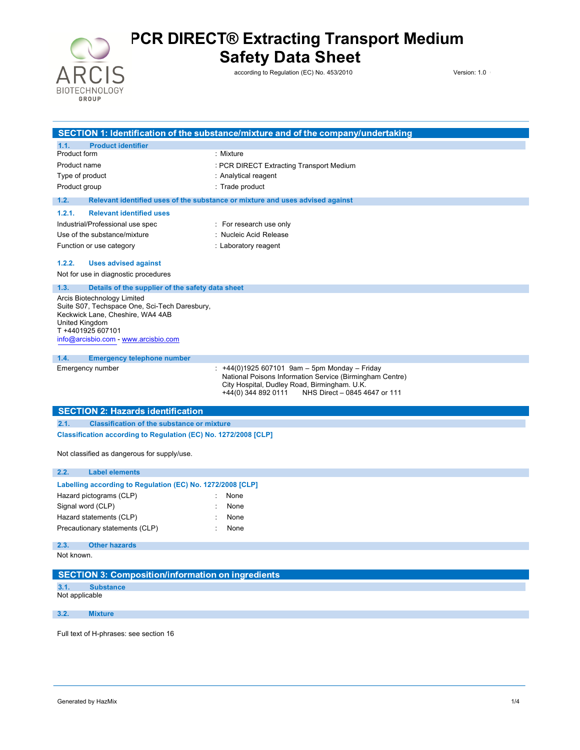

**Safety Data Sheet**

according to Regulation (EC) No. 453/2010 Version: 1.0

05/03/2020

|                                                                                   | SECTION 1: Identification of the substance/mixture and of the company/undertaking                    |  |
|-----------------------------------------------------------------------------------|------------------------------------------------------------------------------------------------------|--|
| 1.1.<br><b>Product identifier</b>                                                 |                                                                                                      |  |
| Product form                                                                      | : Mixture                                                                                            |  |
| Product name                                                                      | : PCR DIRECT Extracting Transport Medium                                                             |  |
| Type of product                                                                   | : Analytical reagent                                                                                 |  |
| Product group                                                                     | : Trade product                                                                                      |  |
| 1.2.                                                                              | Relevant identified uses of the substance or mixture and uses advised against                        |  |
| 1.2.1.<br><b>Relevant identified uses</b>                                         |                                                                                                      |  |
| Industrial/Professional use spec                                                  | : For research use only                                                                              |  |
| Use of the substance/mixture                                                      | : Nucleic Acid Release                                                                               |  |
| Function or use category                                                          | : Laboratory reagent                                                                                 |  |
| 1.2.2.<br><b>Uses advised against</b>                                             |                                                                                                      |  |
| Not for use in diagnostic procedures                                              |                                                                                                      |  |
| 1.3.<br>Details of the supplier of the safety data sheet                          |                                                                                                      |  |
| Arcis Biotechnology Limited                                                       |                                                                                                      |  |
| Suite S07, Techspace One, Sci-Tech Daresbury,<br>Keckwick Lane, Cheshire, WA4 4AB |                                                                                                      |  |
| United Kingdom                                                                    |                                                                                                      |  |
| T +4401925 607101                                                                 |                                                                                                      |  |
| info@arcisbio.com - www.arcisbio.com                                              |                                                                                                      |  |
| 1.4.<br><b>Emergency telephone number</b>                                         |                                                                                                      |  |
| Emergency number                                                                  | : $+44(0)1925607101$ 9am - 5pm Monday - Friday                                                       |  |
|                                                                                   | National Poisons Information Service (Birmingham Centre)                                             |  |
|                                                                                   | City Hospital, Dudley Road, Birmingham. U.K.<br>+44(0) 344 892 0111<br>NHS Direct - 0845 4647 or 111 |  |
|                                                                                   |                                                                                                      |  |
| <b>SECTION 2: Hazards identification</b>                                          |                                                                                                      |  |
| 2.1.<br><b>Classification of the substance or mixture</b>                         |                                                                                                      |  |
| Classification according to Regulation (EC) No. 1272/2008 [CLP]                   |                                                                                                      |  |
| Not classified as dangerous for supply/use.                                       |                                                                                                      |  |
|                                                                                   |                                                                                                      |  |
| 2.2.<br><b>Label elements</b>                                                     |                                                                                                      |  |
| Labelling according to Regulation (EC) No. 1272/2008 [CLP]                        |                                                                                                      |  |
| Hazard pictograms (CLP)                                                           | None                                                                                                 |  |
| Signal word (CLP)                                                                 | None                                                                                                 |  |
| Hazard statements (CLP)                                                           | None                                                                                                 |  |
| Precautionary statements (CLP)                                                    | None                                                                                                 |  |
| 2.3.<br><b>Other hazards</b>                                                      |                                                                                                      |  |
| Not known.                                                                        |                                                                                                      |  |
| <b>SECTION 3: Composition/information on ingredients</b>                          |                                                                                                      |  |
| 3.1.<br><b>Substance</b>                                                          |                                                                                                      |  |
| Not applicable                                                                    |                                                                                                      |  |
|                                                                                   |                                                                                                      |  |
|                                                                                   |                                                                                                      |  |
| 3.2.<br><b>Mixture</b>                                                            |                                                                                                      |  |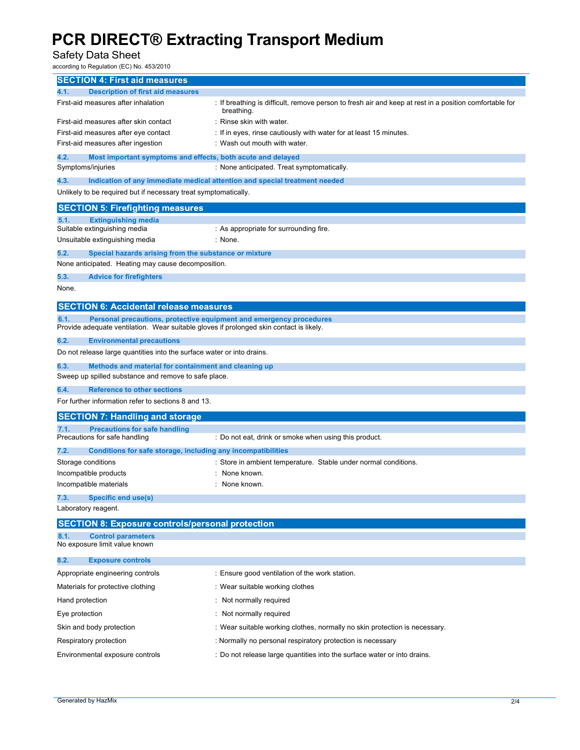#### Safety Data Sheet

according to Regulation (EC) No. 453/2010

| <b>SECTION 4: First aid measures</b>                                                                                                                                   |                                                                                                                    |  |
|------------------------------------------------------------------------------------------------------------------------------------------------------------------------|--------------------------------------------------------------------------------------------------------------------|--|
| <b>Description of first aid measures</b><br>4.1.                                                                                                                       |                                                                                                                    |  |
| First-aid measures after inhalation                                                                                                                                    | If breathing is difficult, remove person to fresh air and keep at rest in a position comfortable for<br>breathing. |  |
| First-aid measures after skin contact                                                                                                                                  | : Rinse skin with water.                                                                                           |  |
| First-aid measures after eye contact                                                                                                                                   | : If in eyes, rinse cautiously with water for at least 15 minutes.                                                 |  |
| First-aid measures after ingestion                                                                                                                                     | : Wash out mouth with water.                                                                                       |  |
| 4.2.<br>Most important symptoms and effects, both acute and delayed                                                                                                    |                                                                                                                    |  |
| Symptoms/injuries                                                                                                                                                      | : None anticipated. Treat symptomatically.                                                                         |  |
| 4.3.                                                                                                                                                                   | Indication of any immediate medical attention and special treatment needed                                         |  |
| Unlikely to be required but if necessary treat symptomatically.                                                                                                        |                                                                                                                    |  |
| <b>SECTION 5: Firefighting measures</b>                                                                                                                                |                                                                                                                    |  |
| <b>Extinguishing media</b><br>5.1.<br>Suitable extinguishing media                                                                                                     |                                                                                                                    |  |
| Unsuitable extinguishing media                                                                                                                                         | : As appropriate for surrounding fire.<br>: None.                                                                  |  |
|                                                                                                                                                                        |                                                                                                                    |  |
| 5.2.<br>Special hazards arising from the substance or mixture<br>None anticipated. Heating may cause decomposition.                                                    |                                                                                                                    |  |
| 5.3.<br><b>Advice for firefighters</b>                                                                                                                                 |                                                                                                                    |  |
| None.                                                                                                                                                                  |                                                                                                                    |  |
| <b>SECTION 6: Accidental release measures</b>                                                                                                                          |                                                                                                                    |  |
| Personal precautions, protective equipment and emergency procedures<br>6.1.<br>Provide adequate ventilation. Wear suitable gloves if prolonged skin contact is likely. |                                                                                                                    |  |
| 6.2.<br><b>Environmental precautions</b>                                                                                                                               |                                                                                                                    |  |
| Do not release large quantities into the surface water or into drains.                                                                                                 |                                                                                                                    |  |
| 6.3.<br>Methods and material for containment and cleaning up                                                                                                           |                                                                                                                    |  |
| Sweep up spilled substance and remove to safe place.                                                                                                                   |                                                                                                                    |  |
| 6.4.<br><b>Reference to other sections</b>                                                                                                                             |                                                                                                                    |  |
| For further information refer to sections 8 and 13.                                                                                                                    |                                                                                                                    |  |
| <b>SECTION 7: Handling and storage</b>                                                                                                                                 |                                                                                                                    |  |
| <b>Precautions for safe handling</b><br>7.1.                                                                                                                           |                                                                                                                    |  |
| Precautions for safe handling                                                                                                                                          | : Do not eat, drink or smoke when using this product.                                                              |  |
| 7.2.<br>Conditions for safe storage, including any incompatibilities                                                                                                   |                                                                                                                    |  |
| Storage conditions                                                                                                                                                     | : Store in ambient temperature. Stable under normal conditions.                                                    |  |
| Incompatible products                                                                                                                                                  | None known.                                                                                                        |  |
| Incompatible materials                                                                                                                                                 | None known.                                                                                                        |  |
| 7.3.<br>Specific end use(s)<br>Laboratory reagent.                                                                                                                     |                                                                                                                    |  |
| <b>SECTION 8: Exposure controls/personal protection</b>                                                                                                                |                                                                                                                    |  |
|                                                                                                                                                                        |                                                                                                                    |  |
| <b>Control parameters</b><br>8.1.<br>No exposure limit value known                                                                                                     |                                                                                                                    |  |
| 8.2.<br><b>Exposure controls</b>                                                                                                                                       |                                                                                                                    |  |
| Appropriate engineering controls                                                                                                                                       | : Ensure good ventilation of the work station.                                                                     |  |
| Materials for protective clothing                                                                                                                                      | : Wear suitable working clothes                                                                                    |  |
| Hand protection                                                                                                                                                        | : Not normally required                                                                                            |  |
| Eye protection                                                                                                                                                         | Not normally required                                                                                              |  |
| Skin and body protection                                                                                                                                               | : Wear suitable working clothes, normally no skin protection is necessary.                                         |  |
| Respiratory protection                                                                                                                                                 | : Normally no personal respiratory protection is necessary                                                         |  |
| Environmental exposure controls                                                                                                                                        | : Do not release large quantities into the surface water or into drains.                                           |  |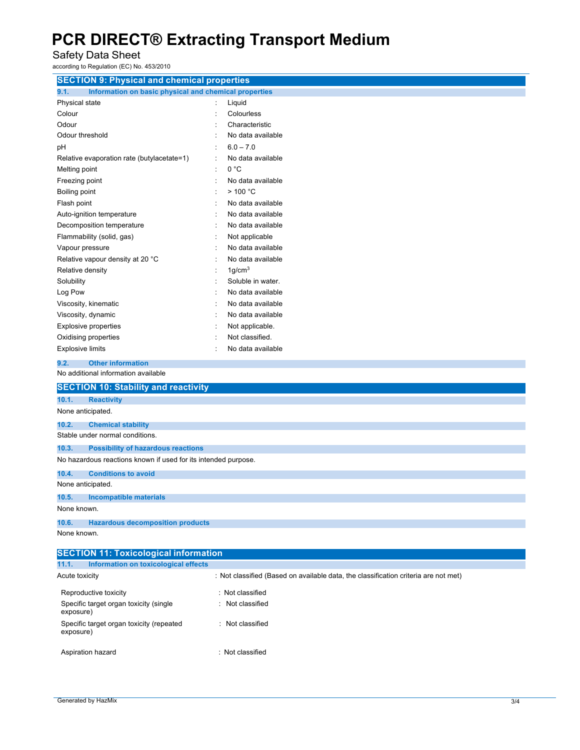Safety Data Sheet

according to Regulation (EC) No. 453/2010

| according to Regulation (EC) No. 453/2010                                                     |                                                                                     |
|-----------------------------------------------------------------------------------------------|-------------------------------------------------------------------------------------|
| <b>SECTION 9: Physical and chemical properties</b>                                            |                                                                                     |
| 9.1.<br>Information on basic physical and chemical properties                                 |                                                                                     |
| Physical state                                                                                | Liquid<br>Colourless                                                                |
| Colour<br>Odour                                                                               | Characteristic                                                                      |
| Odour threshold                                                                               | No data available                                                                   |
|                                                                                               | $6.0 - 7.0$                                                                         |
| pH                                                                                            | No data available                                                                   |
| Relative evaporation rate (butylacetate=1)                                                    | 0 °C<br>$\ddot{\phantom{a}}$                                                        |
| Melting point                                                                                 | No data available                                                                   |
| Freezing point<br>Boiling point                                                               | >100 °C                                                                             |
| Flash point                                                                                   | No data available                                                                   |
| Auto-ignition temperature                                                                     | No data available                                                                   |
| Decomposition temperature                                                                     | No data available                                                                   |
| Flammability (solid, gas)                                                                     | Not applicable                                                                      |
| Vapour pressure                                                                               | No data available                                                                   |
| Relative vapour density at 20 °C                                                              | No data available                                                                   |
| Relative density                                                                              | 1 g/cm <sup>3</sup>                                                                 |
| Solubility                                                                                    | Soluble in water.                                                                   |
| Log Pow                                                                                       | No data available                                                                   |
| Viscosity, kinematic                                                                          | No data available                                                                   |
| Viscosity, dynamic                                                                            | No data available                                                                   |
| Explosive properties                                                                          | Not applicable.                                                                     |
| Oxidising properties                                                                          | Not classified.                                                                     |
| <b>Explosive limits</b>                                                                       | No data available                                                                   |
| <b>Other information</b>                                                                      |                                                                                     |
| 9.2.<br>No additional information available                                                   |                                                                                     |
|                                                                                               |                                                                                     |
| <b>SECTION 10: Stability and reactivity</b>                                                   |                                                                                     |
| 10.1.<br><b>Reactivity</b>                                                                    |                                                                                     |
| None anticipated.                                                                             |                                                                                     |
| 10.2.<br><b>Chemical stability</b>                                                            |                                                                                     |
| Stable under normal conditions.                                                               |                                                                                     |
| 10.3.<br><b>Possibility of hazardous reactions</b>                                            |                                                                                     |
| No hazardous reactions known if used for its intended purpose.                                |                                                                                     |
| <b>Conditions to avoid</b><br>10.4.                                                           |                                                                                     |
| None anticipated.                                                                             |                                                                                     |
| 10.5.<br><b>Incompatible materials</b>                                                        |                                                                                     |
| None known.                                                                                   |                                                                                     |
| 10.6.<br><b>Hazardous decomposition products</b>                                              |                                                                                     |
| None known.                                                                                   |                                                                                     |
|                                                                                               |                                                                                     |
| <b>SECTION 11: Toxicological information</b><br>Information on toxicological effects<br>11.1. |                                                                                     |
| Acute toxicity                                                                                | : Not classified (Based on available data, the classification criteria are not met) |
|                                                                                               |                                                                                     |
| Reproductive toxicity                                                                         | : Not classified                                                                    |
| Specific target organ toxicity (single<br>exposure)                                           | : Not classified                                                                    |

: Not classified

exposure)

Specific target organ toxicity (repeated